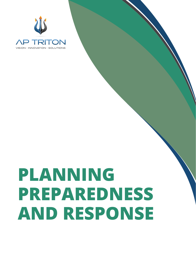

# **PLANNING PREPAREDNESS AND RESPONSE**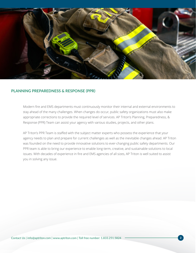

### **PLANNING PREPAREDNESS & RESPONSE (PPR)**

Modern fire and EMS departments must continuously monitor their internal and external environments to stay ahead of the many challenges. When changes do occur, public safety organizations must also make appropriate corrections to provide the required level of services. AP Triton's Planning, Preparedness, & Response (PPR) Team can assist your agency with various studies, projects, and other plans.

AP Triton's PPR Team is staffed with the subject matter experts who possess the experience that your agency needs to plan and prepare for current challenges as well as the inevitable changes ahead. AP Triton was founded on the need to provide innovative solutions to ever-changing public safety departments. Our PPR team is able to bring our experience to enable long-term, creative, and sustainable solutions to local issues. With decades of experience in fire and EMS agencies of all sizes, AP Triton is well suited to assist you in solving any issue.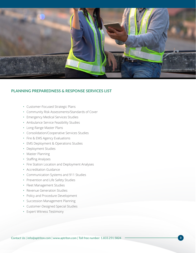

# **PLANNING PREPAREDNESS & RESPONSE SERVICES LIST**

- Customer-Focused Strategic Plans
- Community Risk Assessments/Standards of Cover
- Emergency Medical Services Studies
- Ambulance Service Feasibility Studies
- Long-Range Master Plans
- Consolidation/Cooperative Services Studies
- Fire & EMS Agency Evaluations
- EMS Deployment & Operations Studies
- Deployment Studies
- Master Planning
- Staffing Analyses
- Fire Station Location and Deployment Analyses
- Accreditation Guidance
- Communication Systems and 911 Studies
- Prevention and Life Safety Studies
- Fleet Management Studies
- Revenue Generation Studies
- Policy and Procedure Development
- Succession Management Planning
- Customer-Designed Special Studies
- Expert Witness Testimony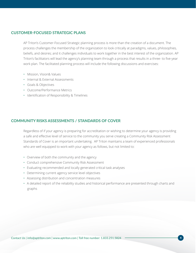### **CUSTOMER-FOCUSED STRATEGIC PLANS**

AP Triton's Customer-Focused Strategic planning process is more than the creation of a document. The process challenges the membership of the organization to look critically at paradigms, values, philosophies, beliefs, and desires; and it challenges individuals to work together in the best interest of the organization. AP Triton's facilitators will lead the agency's planning team through a process that results in a three- to five-year work plan. The facilitated planning process will include the following discussions and exercises:

- Mission, Vision& Values
- Internal & External Assessments
- Goals & Objectives
- Outcome/Performance Metrics
- Identification of Responsibility & Timelines

# **COMMUNITY RISKS ASSESSMENTS / STANDARDS OF COVER**

Regardless of if your agency is preparing for accreditation or wishing to determine your agency is providing a safe and effective level of service to the community you serve creating a Community Risk Assessment Standards of Cover is an important undertaking. AP Triton maintains a team of experienced professionals who are well equipped to work with your agency as follows, but not limited to:

- Overview of both the community and the agency
- Conduct comprehensive Community Risk Assessment
- Evaluating recommended and locally generated critical task analyses
- Determining current agency service level objectives
- Assessing distribution and concentration measures
- A detailed report of the reliability studies and historical performance are presented through charts and graphs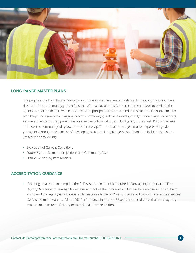

### **LONG-RANGE MASTER PLANS**

The purpose of a Long Range Master Plan is to evaluate the agency in relation to the community's current risks, anticipate community growth (and therefore associated risk), and recommend steps to position the agency to address that growth in advance with appropriate resources and infrastructure. In short, a master plan keeps the agency from lagging behind community growth and development, maintaining or enhancing service as the community grows. It is an effective policy-making and budgeting tool as well. Knowing where and how the community will grow into the future. Ap Triton's team of subject matter experts will guide you agency through the process of developing a custom Long Range Master Plan that includes but is not limited to the following:

- Evaluation of Current Conditions
- Future System Demand Projections and Community Risk
- Future Delivery System Models

## **ACCREDITATION GUIDANCE**

• Standing up a team to complete the Self-Assessment Manual required of any agency in pursuit of Fire Agency Accreditation is a significant commitment of staff resources. The task becomes more difficult and complex if the agency is not prepared to response to the 252 Performance Indicators that are the agencies Self-Assessment Manual. Of the 252 Performance Indicators, 86 are considered Core, that is the agency must demonstrate proficiency or face denial of accreditation.